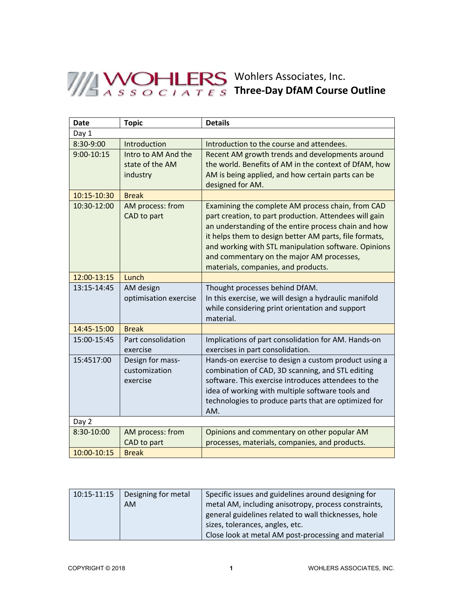## Wohlers Associates, Inc. **Three‐Day DfAM Course Outline**

| <b>Date</b>    | <b>Topic</b>                                       | <b>Details</b>                                                                                                                                                                                                                                                                                                                                                            |
|----------------|----------------------------------------------------|---------------------------------------------------------------------------------------------------------------------------------------------------------------------------------------------------------------------------------------------------------------------------------------------------------------------------------------------------------------------------|
| Day 1          |                                                    |                                                                                                                                                                                                                                                                                                                                                                           |
| 8:30-9:00      | Introduction                                       | Introduction to the course and attendees.                                                                                                                                                                                                                                                                                                                                 |
| $9:00 - 10:15$ | Intro to AM And the<br>state of the AM<br>industry | Recent AM growth trends and developments around<br>the world. Benefits of AM in the context of DfAM, how<br>AM is being applied, and how certain parts can be<br>designed for AM.                                                                                                                                                                                         |
| 10:15-10:30    | <b>Break</b>                                       |                                                                                                                                                                                                                                                                                                                                                                           |
| 10:30-12:00    | AM process: from<br>CAD to part                    | Examining the complete AM process chain, from CAD<br>part creation, to part production. Attendees will gain<br>an understanding of the entire process chain and how<br>it helps them to design better AM parts, file formats,<br>and working with STL manipulation software. Opinions<br>and commentary on the major AM processes,<br>materials, companies, and products. |
| 12:00-13:15    | Lunch                                              |                                                                                                                                                                                                                                                                                                                                                                           |
| 13:15-14:45    | AM design<br>optimisation exercise                 | Thought processes behind DfAM.<br>In this exercise, we will design a hydraulic manifold<br>while considering print orientation and support<br>material.                                                                                                                                                                                                                   |
| 14:45-15:00    | <b>Break</b>                                       |                                                                                                                                                                                                                                                                                                                                                                           |
| 15:00-15:45    | Part consolidation<br>exercise                     | Implications of part consolidation for AM. Hands-on<br>exercises in part consolidation.                                                                                                                                                                                                                                                                                   |
| 15:4517:00     | Design for mass-<br>customization<br>exercise      | Hands-on exercise to design a custom product using a<br>combination of CAD, 3D scanning, and STL editing<br>software. This exercise introduces attendees to the<br>idea of working with multiple software tools and<br>technologies to produce parts that are optimized for<br>AM.                                                                                        |
| Day 2          |                                                    |                                                                                                                                                                                                                                                                                                                                                                           |
| 8:30-10:00     | AM process: from<br>CAD to part                    | Opinions and commentary on other popular AM<br>processes, materials, companies, and products.                                                                                                                                                                                                                                                                             |
| 10:00-10:15    | <b>Break</b>                                       |                                                                                                                                                                                                                                                                                                                                                                           |

| 10:15-11:15 | Designing for metal | Specific issues and guidelines around designing for  |
|-------------|---------------------|------------------------------------------------------|
|             | <b>AM</b>           | metal AM, including anisotropy, process constraints, |
|             |                     | general guidelines related to wall thicknesses, hole |
|             |                     | sizes, tolerances, angles, etc.                      |
|             |                     | Close look at metal AM post-processing and material  |